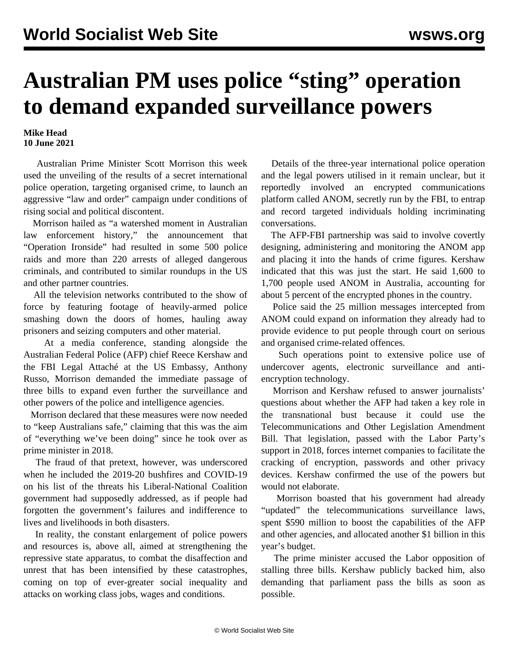## **Australian PM uses police "sting" operation to demand expanded surveillance powers**

## **Mike Head 10 June 2021**

 Australian Prime Minister Scott Morrison this week used the unveiling of the results of a secret international police operation, targeting organised crime, to launch an aggressive "law and order" campaign under conditions of rising social and political discontent.

 Morrison hailed as "a watershed moment in Australian law enforcement history," the announcement that "Operation Ironside" had resulted in some 500 police raids and more than 220 arrests of alleged dangerous criminals, and contributed to similar roundups in the US and other partner countries.

 All the television networks contributed to the show of force by featuring footage of heavily-armed police smashing down the doors of homes, hauling away prisoners and seizing computers and other material.

 At a media conference, standing alongside the Australian Federal Police (AFP) chief Reece Kershaw and the FBI Legal Attaché at the US Embassy, Anthony Russo, Morrison demanded the immediate passage of three bills to expand even further the surveillance and other powers of the police and intelligence agencies.

 Morrison declared that these measures were now needed to "keep Australians safe," claiming that this was the aim of "everything we've been doing" since he took over as prime minister in 2018.

 The fraud of that pretext, however, was underscored when he included the 2019-20 bushfires and COVID-19 on his list of the threats his Liberal-National Coalition government had supposedly addressed, as if people had forgotten the government's failures and indifference to lives and livelihoods in both disasters.

 In reality, the constant enlargement of police powers and resources is, above all, aimed at strengthening the repressive state apparatus, to combat the disaffection and unrest that has been intensified by these catastrophes, coming on top of ever-greater social inequality and attacks on working class jobs, wages and conditions.

 Details of the three-year international police operation and the legal powers utilised in it remain unclear, but it reportedly involved an encrypted communications platform called ANOM, secretly run by the FBI, to entrap and record targeted individuals holding incriminating conversations.

 The AFP-FBI partnership was said to involve covertly designing, administering and monitoring the ANOM app and placing it into the hands of crime figures. Kershaw indicated that this was just the start. He said 1,600 to 1,700 people used ANOM in Australia, accounting for about 5 percent of the encrypted phones in the country.

 Police said the 25 million messages intercepted from ANOM could expand on information they already had to provide evidence to put people through court on serious and organised crime-related offences.

 Such operations point to extensive police use of undercover agents, electronic surveillance and antiencryption technology.

 Morrison and Kershaw refused to answer journalists' questions about whether the AFP had taken a key role in the transnational bust because it could use the Telecommunications and Other Legislation Amendment Bill. That legislation, passed with the Labor Party's support in 2018, forces internet companies to facilitate the cracking of encryption, passwords and other privacy devices. Kershaw confirmed the use of the powers but would not elaborate.

 Morrison boasted that his government had already "updated" the telecommunications surveillance laws, spent \$590 million to boost the capabilities of the AFP and other agencies, and allocated another \$1 billion in this year's budget.

 The prime minister accused the Labor opposition of stalling three bills. Kershaw publicly backed him, also demanding that parliament pass the bills as soon as possible.